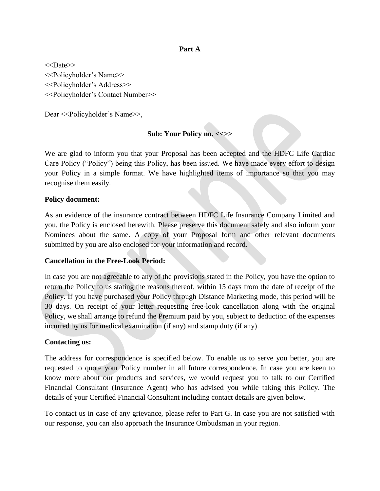#### **Part A**

<<Date>> <<Policyholder's Name>> <<Policyholder's Address>> <<Policyholder's Contact Number>>

Dear <<Policyholder's Name>>,

#### **Sub: Your Policy no. <<>>**

We are glad to inform you that your Proposal has been accepted and the HDFC Life Cardiac Care Policy ("Policy") being this Policy, has been issued. We have made every effort to design your Policy in a simple format. We have highlighted items of importance so that you may recognise them easily.

#### **Policy document:**

As an evidence of the insurance contract between HDFC Life Insurance Company Limited and you, the Policy is enclosed herewith. Please preserve this document safely and also inform your Nominees about the same. A copy of your Proposal form and other relevant documents submitted by you are also enclosed for your information and record.

#### **Cancellation in the Free-Look Period:**

In case you are not agreeable to any of the provisions stated in the Policy, you have the option to return the Policy to us stating the reasons thereof, within 15 days from the date of receipt of the Policy. If you have purchased your Policy through Distance Marketing mode, this period will be 30 days. On receipt of your letter requesting free-look cancellation along with the original Policy, we shall arrange to refund the Premium paid by you, subject to deduction of the expenses incurred by us for medical examination (if any) and stamp duty (if any).

#### **Contacting us:**

The address for correspondence is specified below. To enable us to serve you better, you are requested to quote your Policy number in all future correspondence. In case you are keen to know more about our products and services, we would request you to talk to our Certified Financial Consultant (Insurance Agent) who has advised you while taking this Policy. The details of your Certified Financial Consultant including contact details are given below.

To contact us in case of any grievance, please refer to Part G. In case you are not satisfied with our response, you can also approach the Insurance Ombudsman in your region.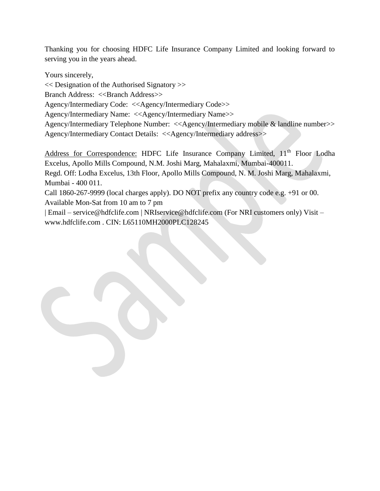Thanking you for choosing HDFC Life Insurance Company Limited and looking forward to serving you in the years ahead.

Yours sincerely,

<< Designation of the Authorised Signatory >>

Branch Address: <<Br/>Shanch Address>>

Agency/Intermediary Code: <<Agency/Intermediary Code>>

Agency/Intermediary Name: <<Agency/Intermediary Name>>

Agency/Intermediary Telephone Number: <<Agency/Intermediary mobile & landline number>> Agency/Intermediary Contact Details: <<Agency/Intermediary address>>

Address for Correspondence: HDFC Life Insurance Company Limited, 11<sup>th</sup> Floor Lodha Excelus, Apollo Mills Compound, N.M. Joshi Marg, Mahalaxmi, Mumbai-400011.

Regd. Off: Lodha Excelus, 13th Floor, Apollo Mills Compound, N. M. Joshi Marg, Mahalaxmi, Mumbai - 400 011.

Call 1860-267-9999 (local charges apply). DO NOT prefix any country code e.g. +91 or 00. Available Mon-Sat from 10 am to 7 pm

| Email – service@hdfclife.com | NRIservice@hdfclife.com (For NRI customers only) Visit – www.hdfclife.com . CIN: L65110MH2000PLC128245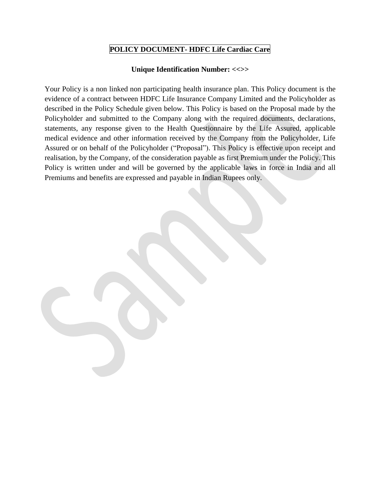# **POLICY DOCUMENT- HDFC Life Cardiac Care**

#### **Unique Identification Number: <<>>**

Your Policy is a non linked non participating health insurance plan. This Policy document is the evidence of a contract between HDFC Life Insurance Company Limited and the Policyholder as described in the Policy Schedule given below. This Policy is based on the Proposal made by the Policyholder and submitted to the Company along with the required documents, declarations, statements, any response given to the Health Questionnaire by the Life Assured, applicable medical evidence and other information received by the Company from the Policyholder, Life Assured or on behalf of the Policyholder ("Proposal"). This Policy is effective upon receipt and realisation, by the Company, of the consideration payable as first Premium under the Policy. This Policy is written under and will be governed by the applicable laws in force in India and all Premiums and benefits are expressed and payable in Indian Rupees only.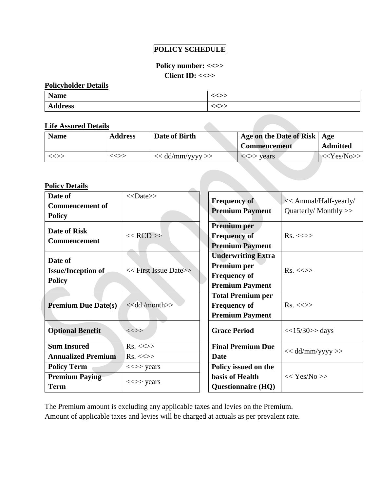# **POLICY SCHEDULE**

# **Policy number: <<>> Client ID: <<>>**

#### **Policyholder Details**

| <b>Name</b>    | ノハ丶<br>、   |
|----------------|------------|
| <b>Address</b> | ンヘ<br>、<>> |

### **Life Assured Details**

| <b>Name</b>           | <b>Address</b> | Date of Birth      | Age on the Date of Risk   Age           |                   |
|-----------------------|----------------|--------------------|-----------------------------------------|-------------------|
|                       |                |                    | <b>Commencement</b>                     | <b>Admitted</b>   |
| $\iff$                | $\ll >>$       | $<<$ dd/mm/yyyy >> | $\langle \langle \rangle \rangle$ years | $<<\text{Yes/No}$ |
|                       |                |                    |                                         |                   |
|                       |                |                    |                                         |                   |
| <b>Policy Details</b> |                |                    |                                         |                   |

**Contract Contract** 

### **Policy Details**

| Date of                                                    | $<<$ Date>>                                             | <b>Frequency of</b>                                                                       | << Annual/Half-yearly/ |
|------------------------------------------------------------|---------------------------------------------------------|-------------------------------------------------------------------------------------------|------------------------|
| <b>Commencement of</b><br><b>Policy</b>                    |                                                         | <b>Premium Payment</b>                                                                    | Quarterly/Monthly >>   |
| <b>Date of Risk</b><br>Commencement                        | $<<$ RCD $>>$                                           | <b>Premium</b> per<br><b>Frequency of</b><br><b>Premium Payment</b>                       | $Rs. \ll\gg$           |
| Date of<br><b>Issue/Inception of</b><br><b>Policy</b>      | << First Issue Date>>                                   | <b>Underwriting Extra</b><br>Premium per<br><b>Frequency of</b><br><b>Premium Payment</b> | $Rs. \ll\gg$           |
| <b>Premium Due Date(s)</b>                                 | < <dd month="">&gt;</dd>                                | <b>Total Premium per</b><br><b>Frequency of</b><br><b>Premium Payment</b>                 | $Rs. \ll\gg$           |
| <b>Optional Benefit</b>                                    | $\iff$                                                  | <b>Grace Period</b>                                                                       | $<<15/30>>$ days       |
| <b>Sum Insured</b><br><b>Annualized Premium</b>            | $Rs. < \gg$<br>$Rs. \ll\gg$                             | <b>Final Premium Due</b><br><b>Date</b>                                                   | $<<$ dd/mm/yyyy >>     |
| <b>Policy Term</b><br><b>Premium Paying</b><br><b>Term</b> | $\langle \langle \rangle \rangle$ years<br>$\iff$ years | Policy issued on the<br>basis of Health<br><b>Questionnaire (HQ)</b>                      | << Yes/No>>            |

The Premium amount is excluding any applicable taxes and levies on the Premium.

Amount of applicable taxes and levies will be charged at actuals as per prevalent rate.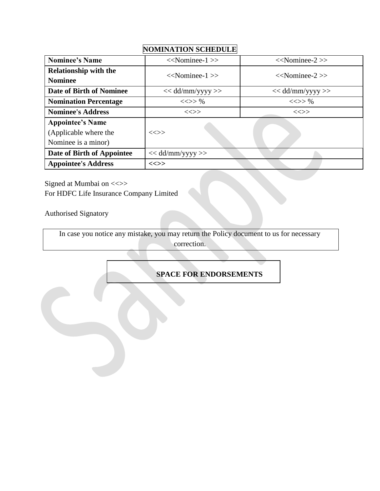# **Nominee's Name**  $\langle\langle\text{Nominee-1}\rangle\rangle$   $\langle\langle\text{Nominee-2}\rangle\rangle$ **Relationship with the**  Nominee<br>Nominee<br>Nominee-1 >> <<Nominee-2 >> <<Nominee-2 >> << **Date of Birth of Nominee**  $<< dd/mm/yyyy>>$   $<< dd/mm/yyyy>>$ **Nomination Percentage**  $\langle \langle \rangle \rangle$  %  $\langle \langle \rangle \rangle$  %  $\langle \langle \rangle \rangle$  % **Nominee's Address**  $\iff$   $\iff$   $\iff$   $\iff$   $\iff$ **Appointee's Name** (Applicable where the  $|\ll\gg$ Nominee is a minor) **Date of Birth of Appointee**  $\vert \ll \text{dd/mm/yyy} \gg$ **Appointee's Address <<>>**

Signed at Mumbai on <<>> For HDFC Life Insurance Company Limited

Authorised Signatory

In case you notice any mistake, you may return the Policy document to us for necessary correction.

**SPACE FOR ENDORSEMENTS**

# **NOMINATION SCHEDULE**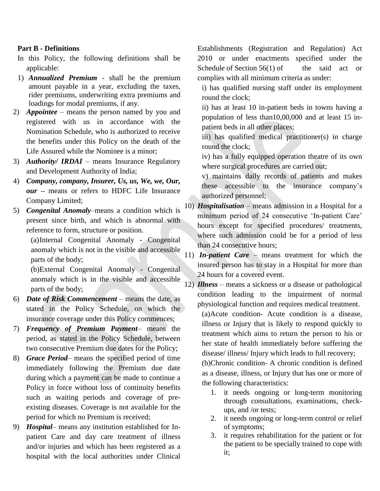#### **Part B - Definitions**

- In this Policy, the following definitions shall be applicable:
- 1) *Annualized Premium* shall be the premium amount payable in a year, excluding the taxes, rider premiums, underwriting extra premiums and loadings for modal premiums, if any.
- 2) *Appointee –* means the person named by you and registered with us in accordance with the Nomination Schedule, who is authorized to receive the benefits under this Policy on the death of the Life Assured while the Nominee is a minor;
- 3) *Authority/ IRDAI* means Insurance Regulatory and Development Authority of India;
- 4) *Company, company, Insurer, Us, us, We, we, Our, our* **–** means or refers to HDFC Life Insurance Company Limited;
- 5) *Congenital Anomaly*–means a condition which is present since birth, and which is abnormal with reference to form, structure or position.

(a)Internal Congenital Anomaly - Congenital anomaly which is not in the visible and accessible parts of the body;

(b)External Congenital Anomaly - Congenital anomaly which is in the visible and accessible parts of the body;

- 6) *Date of Risk Commencement –* means the date, as stated in the Policy Schedule, on which the insurance coverage under this Policy commences;
- 7) *Frequency of Premium Payment* means the period, as stated in the Policy Schedule, between two consecutive Premium due dates for the Policy;
- 8) *Grace Period* means the specified period of time immediately following the Premium due date during which a payment can be made to continue a Policy in force without loss of continuity benefits such as waiting periods and coverage of preexisting diseases. Coverage is not available for the period for which no Premium is received;
- 9) *Hospital* means any institution established for Inpatient Care and day care treatment of illness and/or injuries and which has been registered as a hospital with the local authorities under Clinical

Establishments (Registration and Regulation) Act 2010 or under enactments specified under the Schedule of Section  $56(1)$  of the said act or complies with all minimum criteria as under:

i) has qualified nursing staff under its employment round the clock;

ii) has at least 10 in-patient beds in towns having a population of less than10,00,000 and at least 15 inpatient beds in all other places;

iii) has qualified medical practitioner(s) in charge round the clock;

iv) has a fully equipped operation theatre of its own where surgical procedures are carried out;

v) maintains daily records of patients and makes these accessible to the insurance company's authorized personnel;

- 10) *Hospitalisation* means admission in a Hospital for a minimum period of 24 consecutive 'In-patient Care' hours except for specified procedures/ treatments, where such admission could be for a period of less than 24 consecutive hours;
- 11) *In-patient Care* means treatment for which the insured person has to stay in a Hospital for more than 24 hours for a covered event.

12) *Illness* – means a sickness or a disease or pathological condition leading to the impairment of normal physiological function and requires medical treatment.

(a)Acute condition- Acute condition is a disease, illness or Injury that is likely to respond quickly to treatment which aims to return the person to his or her state of health immediately before suffering the disease/ illness/ Injury which leads to full recovery;

(b)Chronic condition- A chronic condition is defined as a disease, illness, or Injury that has one or more of the following characteristics:

- 1. it needs ongoing or long-term monitoring through consultations, examinations, checkups, and /or tests;
- 2. it needs ongoing or long-term control or relief of symptoms;
- 3. it requires rehabilitation for the patient or for the patient to be specially trained to cope with it;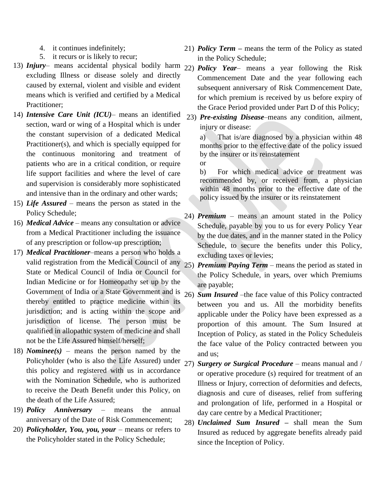- 4. it continues indefinitely;
- 5. it recurs or is likely to recur;
- 13) *Injury* means accidental physical bodily harm 22) *Policy Year* means a year following the Risk excluding Illness or disease solely and directly caused by external, violent and visible and evident means which is verified and certified by a Medical Practitioner;
- 14) *Intensive Care Unit (ICU)* means an identified section, ward or wing of a Hospital which is under the constant supervision of a dedicated Medical Practitioner(s), and which is specially equipped for the continuous monitoring and treatment of patients who are in a critical condition, or require life support facilities and where the level of care and supervision is considerably more sophisticated and intensive than in the ordinary and other wards;
- 15) *Life Assured* means the person as stated in the Policy Schedule;
- 16) *Medical Advice* means any consultation or advice from a Medical Practitioner including the issuance of any prescription or follow-up prescription;
- 17) *Medical Practitioner*–means a person who holds a valid registration from the Medical Council of any  $25$ State or Medical Council of India or Council for Indian Medicine or for Homeopathy set up by the Government of India or a State Government and is 26) *Sum Insured* –the face value of this Policy contracted thereby entitled to practice medicine within its jurisdiction; and is acting within the scope and jurisdiction of license. The person must be qualified in allopathic system of medicine and shall not be the Life Assured himself/herself;
- 18) *Nominee(s)* means the person named by the Policyholder (who is also the Life Assured) under  $27$ ) this policy and registered with us in accordance with the Nomination Schedule, who is authorized to receive the Death Benefit under this Policy, on the death of the Life Assured;
- 19) *Policy Anniversary* means the annual anniversary of the Date of Risk Commencement;
- 20) *Policyholder, You, you, your* means or refers to the Policyholder stated in the Policy Schedule;
- 21) *Policy Term –* means the term of the Policy as stated in the Policy Schedule;
- Commencement Date and the year following each subsequent anniversary of Risk Commencement Date, for which premium is received by us before expiry of the Grace Period provided under Part D of this Policy;
- 23) *Pre-existing Disease*–means any condition, ailment, injury or disease:

a) That is/are diagnosed by a physician within 48 months prior to the effective date of the policy issued by the insurer or its reinstatement

or

b) For which medical advice or treatment was recommended by, or received from, a physician within 48 months prior to the effective date of the policy issued by the insurer or its reinstatement

- 24) *Premium* means an amount stated in the Policy Schedule, payable by you to us for every Policy Year by the due dates, and in the manner stated in the Policy Schedule, to secure the benefits under this Policy, excluding taxes or levies;
- *Premium Paying Term* means the period as stated in the Policy Schedule, in years, over which Premiums are payable;
- between you and us. All the morbidity benefits applicable under the Policy have been expressed as a proportion of this amount. The Sum Insured at Inception of Policy, as stated in the Policy Scheduleis the face value of the Policy contracted between you and us;
- 27) *Surgery or Surgical Procedure* means manual and / or operative procedure (s) required for treatment of an Illness or Injury, correction of deformities and defects, diagnosis and cure of diseases, relief from suffering and prolongation of life, performed in a Hospital or day care centre by a Medical Practitioner;
- 28) *Unclaimed Sum Insured –* shall mean the Sum Insured as reduced by aggregate benefits already paid since the Inception of Policy.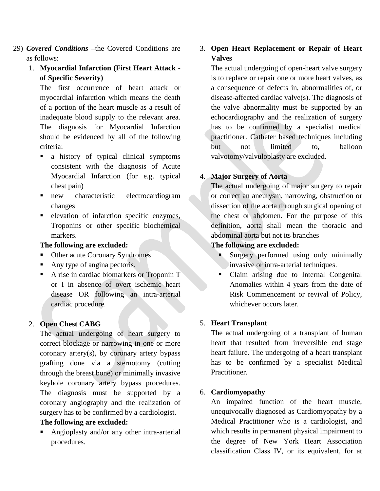- 29) *Covered Conditions –*the Covered Conditions are as follows:
	- 1. **Myocardial Infarction (First Heart Attack of Specific Severity)**

The first occurrence of heart attack or myocardial infarction which means the death of a portion of the heart muscle as a result of inadequate blood supply to the relevant area. The diagnosis for Myocardial Infarction should be evidenced by all of the following criteria:

- a history of typical clinical symptoms consistent with the diagnosis of Acute Myocardial Infarction (for e.g. typical chest pain)
- new characteristic electrocardiogram changes
- elevation of infarction specific enzymes, Troponins or other specific biochemical markers.

### **The following are excluded:**

- Other acute Coronary Syndromes
- Any type of angina pectoris.
- A rise in cardiac biomarkers or Troponin T or I in absence of overt ischemic heart disease OR following an intra-arterial cardiac procedure.

# 2. **Open Chest CABG**

The actual undergoing of heart surgery to correct blockage or narrowing in one or more coronary artery(s), by coronary artery bypass grafting done via a sternotomy (cutting through the breast bone) or minimally invasive keyhole coronary artery bypass procedures. The diagnosis must be supported by a coronary angiography and the realization of surgery has to be confirmed by a cardiologist.

# **The following are excluded:**

 Angioplasty and/or any other intra-arterial procedures.

# 3. **Open Heart Replacement or Repair of Heart Valves**

The actual undergoing of open-heart valve surgery is to replace or repair one or more heart valves, as a consequence of defects in, abnormalities of, or disease-affected cardiac valve(s). The diagnosis of the valve abnormality must be supported by an echocardiography and the realization of surgery has to be confirmed by a specialist medical practitioner. Catheter based techniques including but not limited to, balloon valvotomy/valvuloplasty are excluded.

# 4. **Major Surgery of Aorta**

The actual undergoing of major surgery to repair or correct an aneurysm, narrowing, obstruction or dissection of the aorta through surgical opening of the chest or abdomen. For the purpose of this definition, aorta shall mean the thoracic and abdominal aorta but not its branches

# **The following are excluded:**

- Surgery performed using only minimally invasive or intra-arterial techniques.
- Claim arising due to Internal Congenital Anomalies within 4 years from the date of Risk Commencement or revival of Policy, whichever occurs later.

# 5. **Heart Transplant**

The actual undergoing of a transplant of human heart that resulted from irreversible end stage heart failure. The undergoing of a heart transplant has to be confirmed by a specialist Medical Practitioner.

# 6. **Cardiomyopathy**

An impaired function of the heart muscle, unequivocally diagnosed as Cardiomyopathy by a Medical Practitioner who is a cardiologist, and which results in permanent physical impairment to the degree of New York Heart Association classification Class IV, or its equivalent, for at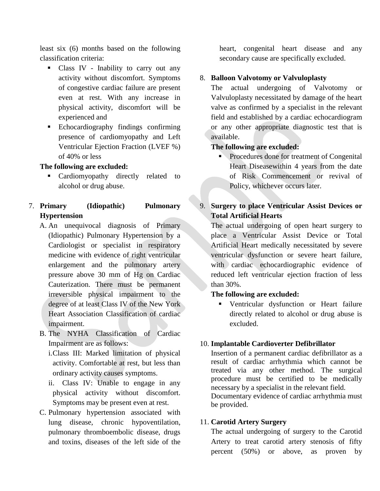least six (6) months based on the following classification criteria:

- Class IV Inability to carry out any activity without discomfort. Symptoms of congestive cardiac failure are present even at rest. With any increase in physical activity, discomfort will be experienced and
- Echocardiography findings confirming presence of cardiomyopathy and Left Ventricular Ejection Fraction (LVEF %) of 40% or less

**The following are excluded:**

- **Cardiomyopathy directly related to** alcohol or drug abuse.
- 7. **Primary (Idiopathic) Pulmonary Hypertension**
	- A. An unequivocal diagnosis of Primary (Idiopathic) Pulmonary Hypertension by a Cardiologist or specialist in respiratory medicine with evidence of right ventricular enlargement and the pulmonary artery pressure above 30 mm of Hg on Cardiac Cauterization. There must be permanent irreversible physical impairment to the degree of at least Class IV of the New York Heart Association Classification of cardiac impairment.
	- B. The NYHA Classification of Cardiac Impairment are as follows:

i.Class III: Marked limitation of physical activity. Comfortable at rest, but less than ordinary activity causes symptoms.

- ii. Class IV: Unable to engage in any physical activity without discomfort. Symptoms may be present even at rest.
- C. Pulmonary hypertension associated with lung disease, chronic hypoventilation, pulmonary thromboembolic disease, drugs and toxins, diseases of the left side of the

heart, congenital heart disease and any secondary cause are specifically excluded.

# 8. **Balloon Valvotomy or Valvuloplasty**

The actual undergoing of Valvotomy or Valvuloplasty necessitated by damage of the heart valve as confirmed by a specialist in the relevant field and established by a cardiac echocardiogram or any other appropriate diagnostic test that is available.

# **The following are excluded:**

**Procedures done for treatment of Congenital** Heart Diseasewithin 4 years from the date of Risk Commencement or revival of Policy, whichever occurs later.

# 9. **Surgery to place Ventricular Assist Devices or Total Artificial Hearts**

The actual undergoing of open heart surgery to place a Ventricular Assist Device or Total Artificial Heart medically necessitated by severe ventricular dysfunction or severe heart failure, with cardiac echocardiographic evidence of reduced left ventricular ejection fraction of less than 30%.

# **The following are excluded:**

 Ventricular dysfunction or Heart failure directly related to alcohol or drug abuse is excluded.

#### 10. **Implantable Cardioverter Defibrillator**

Insertion of a permanent cardiac defibrillator as a result of cardiac arrhythmia which cannot be treated via any other method. The surgical procedure must be certified to be medically necessary by a specialist in the relevant field. Documentary evidence of cardiac arrhythmia must be provided.

#### 11. **Carotid Artery Surgery**

The actual undergoing of surgery to the Carotid Artery to treat carotid artery stenosis of fifty percent (50%) or above, as proven by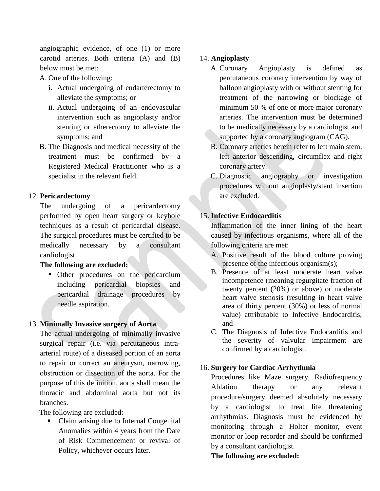angiographic evidence, of one (1) or more carotid arteries. Both criteria (A) and (B) below must be met:

A. One of the following:

- i. Actual undergoing of endarterectomy to alleviate the symptoms; or
- ii. Actual undergoing of an endovascular intervention such as angioplasty and/or stenting or atherectomy to alleviate the symptoms; and
- B. The Diagnosis and medical necessity of the treatment must be confirmed by a Registered Medical Practitioner who is a specialist in the relevant field.

# 12. **Pericardectomy**

The undergoing of a pericardectomy performed by open heart surgery or keyhole techniques as a result of pericardial disease. The surgical procedures must be certified to be medically necessary by a consultant cardiologist.

# **The following are excluded:**

• Other procedures on the pericardium including pericardial biopsies and pericardial drainage procedures by needle aspiration.

# 13. **Minimally Invasive surgery of Aorta**

The actual undergoing of minimally invasive surgical repair (i.e. via percutaneous intraarterial route) of a diseased portion of an aorta to repair or correct an aneurysm, narrowing, obstruction or dissection of the aorta. For the purpose of this definition, aorta shall mean the thoracic and abdominal aorta but not its branches.

The following are excluded:

• Claim arising due to Internal Congenital Anomalies within 4 years from the Date of Risk Commencement or revival of Policy, whichever occurs later.

# 14. **Angioplasty**

- A. Coronary Angioplasty is defined as percutaneous coronary intervention by way of balloon angioplasty with or without stenting for treatment of the narrowing or blockage of minimum 50 % of one or more major coronary arteries. The intervention must be determined to be medically necessary by a cardiologist and supported by a coronary angiogram (CAG).
- B. Coronary arteries herein refer to left main stem, left anterior descending, circumflex and right coronary artery.
- C. Diagnostic angiography or investigation procedures without angioplasty/stent insertion are excluded.

# 15. **Infective Endocarditis**

Inflammation of the inner lining of the heart caused by infectious organisms, where all of the following criteria are met:

- A. Positive result of the blood culture proving presence of the infectious organism(s);
- B. Presence of at least moderate heart valve incompetence (meaning regurgitate fraction of twenty percent (20%) or above) or moderate heart valve stenosis (resulting in heart valve area of thirty percent (30%) or less of normal value) attributable to Infective Endocarditis; and
- C. The Diagnosis of Infective Endocarditis and the severity of valvular impairment are confirmed by a cardiologist.

# 16. **Surgery for Cardiac Arrhythmia**

Procedures like Maze surgery, Radiofrequency Ablation therapy or any relevant procedure/surgery deemed absolutely necessary by a cardiologist to treat life threatening arrhythmias. Diagnosis must be evidenced by monitoring through a Holter monitor, event monitor or loop recorder and should be confirmed by a consultant cardiologist.

# **The following are excluded:**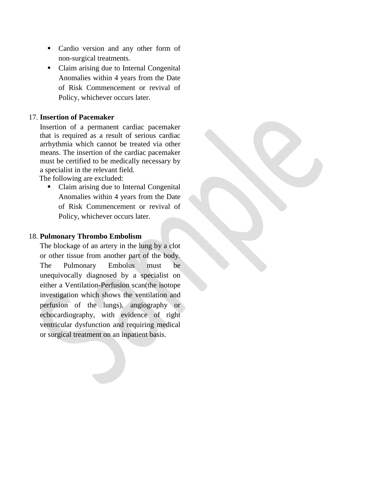- Cardio version and any other form of non-surgical treatments.
- Claim arising due to Internal Congenital Anomalies within 4 years from the Date of Risk Commencement or revival of Policy, whichever occurs later.

### 17. **Insertion of Pacemaker**

Insertion of a permanent cardiac pacemaker that is required as a result of serious cardiac arrhythmia which cannot be treated via other means. The insertion of the cardiac pacemaker must be certified to be medically necessary by a specialist in the relevant field.

The following are excluded:

• Claim arising due to Internal Congenital Anomalies within 4 years from the Date of Risk Commencement or revival of Policy, whichever occurs later.

#### 18. **Pulmonary Thrombo Embolism**

The blockage of an artery in the lung by a clot or other tissue from another part of the body. The Pulmonary Embolus must be unequivocally diagnosed by a specialist on either a Ventilation-Perfusion scan(the isotope investigation which shows the ventilation and perfusion of the lungs), angiography or echocardiography, with evidence of right ventricular dysfunction and requiring medical or surgical treatment on an inpatient basis.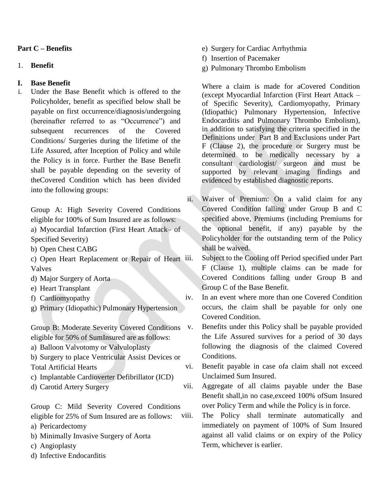# **Part C – Benefits**

#### 1. **Benefit**

### **I. Base Benefit**

i. Under the Base Benefit which is offered to the Policyholder, benefit as specified below shall be payable on first occurrence/diagnosis/undergoing (hereinafter referred to as "Occurrence") and subsequent recurrences of the Covered Conditions/ Surgeries during the lifetime of the Life Assured, after Inception of Policy and while the Policy is in force. Further the Base Benefit shall be payable depending on the severity of theCovered Condition which has been divided into the following groups:

Group A: High Severity Covered Conditions eligible for 100% of Sum Insured are as follows: a) Myocardial Infarction (First Heart Attack– of Specified Severity)

- b) Open Chest CABG
- c) Open Heart Replacement or Repair of Heart Valves
- d) Major Surgery of Aorta
- e) Heart Transplant
- f) Cardiomyopathy
- g) Primary (Idiopathic) Pulmonary Hypertension

Group B: Moderate Severity Covered Conditions eligible for 50% of SumInsured are as follows:

- a) Balloon Valvotomy or Valvuloplasty
- b) Surgery to place Ventricular Assist Devices or Total Artificial Hearts
- c) Implantable Cardioverter Defibrillator (ICD)
- d) Carotid Artery Surgery

Group C: Mild Severity Covered Conditions eligible for 25% of Sum Insured are as follows:

- a) Pericardectomy
- b) Minimally Invasive Surgery of Aorta
- c) Angioplasty
- d) Infective Endocarditis
- e) Surgery for Cardiac Arrhythmia
- f) Insertion of Pacemaker
- g) Pulmonary Thrombo Embolism

Where a claim is made for aCovered Condition (except Myocardial Infarction (First Heart Attack – of Specific Severity), Cardiomyopathy, Primary (Idiopathic) Pulmonary Hypertension, Infective Endocarditis and Pulmonary Thrombo Embolism), in addition to satisfying the criteria specified in the Definitions under Part B and Exclusions under Part F (Clause 2), the procedure or Surgery must be determined to be medically necessary by a consultant cardiologist/ surgeon and must be supported by relevant imaging findings and evidenced by established diagnostic reports.

ii. Waiver of Premium: On a valid claim for any Covered Condition falling under Group B and C specified above, Premiums (including Premiums for the optional benefit, if any) payable by the Policyholder for the outstanding term of the Policy shall be waived.

Subject to the Cooling off Period specified under Part F (Clause 1), multiple claims can be made for Covered Conditions falling under Group B and Group C of the Base Benefit.

iv. In an event where more than one Covered Condition occurs, the claim shall be payable for only one Covered Condition.

v. Benefits under this Policy shall be payable provided the Life Assured survives for a period of 30 days following the diagnosis of the claimed Covered Conditions.

vi. Benefit payable in case ofa claim shall not exceed Unclaimed Sum Insured.

vii. Aggregate of all claims payable under the Base Benefit shall,in no case,exceed 100% ofSum Insured over Policy Term and while the Policy is in force.

viii. The Policy shall terminate automatically and immediately on payment of 100% of Sum Insured against all valid claims or on expiry of the Policy Term, whichever is earlier.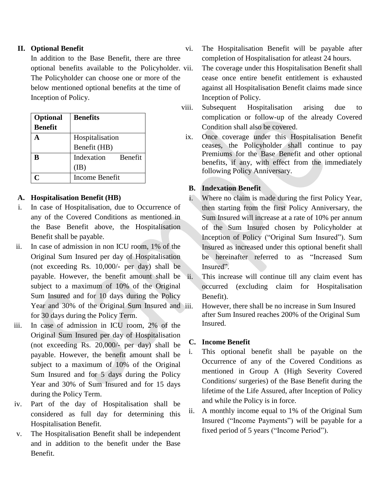# **II. Optional Benefit**

In addition to the Base Benefit, there are three optional benefits available to the Policyholder. The Policyholder can choose one or more of the below mentioned optional benefits at the time of Inception of Policy.

| <b>Optional</b> | <b>Benefits</b>       |
|-----------------|-----------------------|
| <b>Benefit</b>  |                       |
|                 | Hospitalisation       |
|                 | Benefit (HB)          |
| R               | Indexation<br>Benefit |
|                 | (IB)                  |
|                 | Income Benefit        |

### **A. Hospitalisation Benefit (HB)**

- i. In case of Hospitalisation, due to Occurrence of any of the Covered Conditions as mentioned in the Base Benefit above, the Hospitalisation Benefit shall be payable.
- ii. In case of admission in non ICU room, 1% of the Original Sum Insured per day of Hospitalisation (not exceeding Rs. 10,000/- per day) shall be payable. However, the benefit amount shall be subject to a maximum of 10% of the Original Sum Insured and for 10 days during the Policy Year and 30% of the Original Sum Insured and iii. for 30 days during the Policy Term.
- iii. In case of admission in ICU room, 2% of the Original Sum Insured per day of Hospitalisation (not exceeding Rs. 20,000/- per day) shall be payable. However, the benefit amount shall be subject to a maximum of 10% of the Original Sum Insured and for 5 days during the Policy Year and 30% of Sum Insured and for 15 days during the Policy Term.
- iv. Part of the day of Hospitalisation shall be considered as full day for determining this Hospitalisation Benefit.
- v. The Hospitalisation Benefit shall be independent and in addition to the benefit under the Base Benefit.

vi. The Hospitalisation Benefit will be payable after completion of Hospitalisation for atleast 24 hours.

The coverage under this Hospitalisation Benefit shall cease once entire benefit entitlement is exhausted against all Hospitalisation Benefit claims made since Inception of Policy.

- viii. Subsequent Hospitalisation arising due to complication or follow-up of the already Covered Condition shall also be covered.
- ix. Once coverage under this Hospitalisation Benefit ceases, the Policyholder shall continue to pay Premiums for the Base Benefit and other optional benefits, if any, with effect from the immediately following Policy Anniversary.

### **B. Indexation Benefit**

- i. Where no claim is made during the first Policy Year, then starting from the first Policy Anniversary, the Sum Insured will increase at a rate of 10% per annum of the Sum Insured chosen by Policyholder at Inception of Policy ("Original Sum Insured"). Sum Insured as increased under this optional benefit shall be hereinafter referred to as "Increased Sum Insured".
	- This increase will continue till any claim event has occurred (excluding claim for Hospitalisation Benefit).
	- However, there shall be no increase in Sum Insured after Sum Insured reaches 200% of the Original Sum Insured.

### **C. Income Benefit**

- i. This optional benefit shall be payable on the Occurrence of any of the Covered Conditions as mentioned in Group A (High Severity Covered Conditions/ surgeries) of the Base Benefit during the lifetime of the Life Assured, after Inception of Policy and while the Policy is in force.
- ii. A monthly income equal to 1% of the Original Sum Insured ("Income Payments") will be payable for a fixed period of 5 years ("Income Period").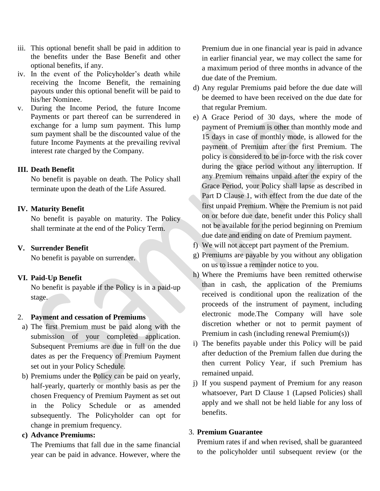- iii. This optional benefit shall be paid in addition to the benefits under the Base Benefit and other optional benefits, if any.
- iv. In the event of the Policyholder's death while receiving the Income Benefit, the remaining payouts under this optional benefit will be paid to his/her Nominee.
- v. During the Income Period, the future Income Payments or part thereof can be surrendered in exchange for a lump sum payment. This lump sum payment shall be the discounted value of the future Income Payments at the prevailing revival interest rate charged by the Company.

#### **III. Death Benefit**

No benefit is payable on death. The Policy shall terminate upon the death of the Life Assured.

### **IV. Maturity Benefit**

No benefit is payable on maturity. The Policy shall terminate at the end of the Policy Term.

# **V. Surrender Benefit**

No benefit is payable on surrender.

#### **VI. Paid-Up Benefit**

No benefit is payable if the Policy is in a paid-up stage.

#### 2. **Payment and cessation of Premiums**

- a) The first Premium must be paid along with the submission of your completed application. Subsequent Premiums are due in full on the due dates as per the Frequency of Premium Payment set out in your Policy Schedule.
- b) Premiums under the Policy can be paid on yearly, half-yearly, quarterly or monthly basis as per the chosen Frequency of Premium Payment as set out in the Policy Schedule or as amended subsequently. The Policyholder can opt for change in premium frequency.

# **c) Advance Premiums:**

The Premiums that fall due in the same financial year can be paid in advance. However, where the Premium due in one financial year is paid in advance in earlier financial year, we may collect the same for a maximum period of three months in advance of the due date of the Premium.

- d) Any regular Premiums paid before the due date will be deemed to have been received on the due date for that regular Premium.
- e) A Grace Period of 30 days, where the mode of payment of Premium is other than monthly mode and 15 days in case of monthly mode, is allowed for the payment of Premium after the first Premium. The policy is considered to be in-force with the risk cover during the grace period without any interruption. If any Premium remains unpaid after the expiry of the Grace Period, your Policy shall lapse as described in Part D Clause 1, with effect from the due date of the first unpaid Premium. Where the Premium is not paid on or before due date, benefit under this Policy shall not be available for the period beginning on Premium due date and ending on date of Premium payment.
- f) We will not accept part payment of the Premium.
- g) Premiums are payable by you without any obligation on us to issue a reminder notice to you.
- h) Where the Premiums have been remitted otherwise than in cash, the application of the Premiums received is conditional upon the realization of the proceeds of the instrument of payment, including electronic mode.The Company will have sole discretion whether or not to permit payment of Premium in cash (including renewal Premium(s))
- i) The benefits payable under this Policy will be paid after deduction of the Premium fallen due during the then current Policy Year, if such Premium has remained unpaid.
- j) If you suspend payment of Premium for any reason whatsoever, Part D Clause 1 (Lapsed Policies) shall apply and we shall not be held liable for any loss of benefits.

#### 3. **Premium Guarantee**

Premium rates if and when revised, shall be guaranteed to the policyholder until subsequent review (or the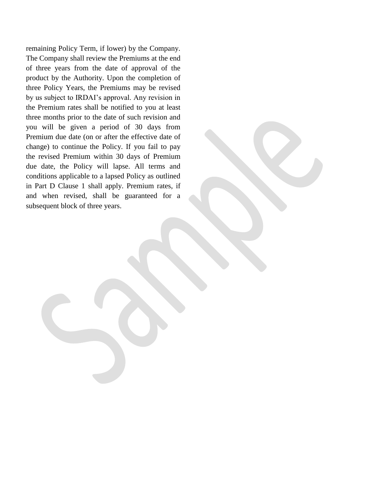remaining Policy Term, if lower) by the Company. The Company shall review the Premiums at the end of three years from the date of approval of the product by the Authority. Upon the completion of three Policy Years, the Premiums may be revised by us subject to IRDAI's approval. Any revision in the Premium rates shall be notified to you at least three months prior to the date of such revision and you will be given a period of 30 days from Premium due date (on or after the effective date of change) to continue the Policy. If you fail to pay the revised Premium within 30 days of Premium due date, the Policy will lapse. All terms and conditions applicable to a lapsed Policy as outlined in Part D Clause 1 shall apply. Premium rates, if and when revised, shall be guaranteed for a subsequent block of three years.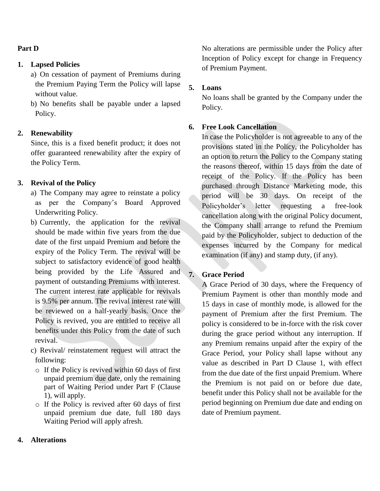#### **Part D**

#### **1. Lapsed Policies**

- a) On cessation of payment of Premiums during the Premium Paying Term the Policy will lapse without value.
- b) No benefits shall be payable under a lapsed Policy.

#### **2. Renewability**

Since, this is a fixed benefit product; it does not offer guaranteed renewability after the expiry of the Policy Term.

#### **3. Revival of the Policy**

- a) The Company may agree to reinstate a policy as per the Company's Board Approved Underwriting Policy.
- b) Currently, the application for the revival should be made within five years from the due date of the first unpaid Premium and before the expiry of the Policy Term. The revival will be subject to satisfactory evidence of good health being provided by the Life Assured and payment of outstanding Premiums with interest. The current interest rate applicable for revivals is 9.5% per annum. The revival interest rate will be reviewed on a half-yearly basis. Once the Policy is revived, you are entitled to receive all benefits under this Policy from the date of such revival.
- c) Revival/ reinstatement request will attract the following:
	- o If the Policy is revived within 60 days of first unpaid premium due date, only the remaining part of Waiting Period under Part F (Clause 1), will apply.
	- o If the Policy is revived after 60 days of first unpaid premium due date, full 180 days Waiting Period will apply afresh.

No alterations are permissible under the Policy after Inception of Policy except for change in Frequency of Premium Payment.

# **5. Loans**

No loans shall be granted by the Company under the Policy.

### **6. Free Look Cancellation**

In case the Policyholder is not agreeable to any of the provisions stated in the Policy, the Policyholder has an option to return the Policy to the Company stating the reasons thereof, within 15 days from the date of receipt of the Policy. If the Policy has been purchased through Distance Marketing mode, this period will be 30 days. On receipt of the Policyholder's letter requesting a free-look cancellation along with the original Policy document, the Company shall arrange to refund the Premium paid by the Policyholder, subject to deduction of the expenses incurred by the Company for medical examination (if any) and stamp duty, (if any).

### **7. Grace Period**

A Grace Period of 30 days, where the Frequency of Premium Payment is other than monthly mode and 15 days in case of monthly mode, is allowed for the payment of Premium after the first Premium. The policy is considered to be in-force with the risk cover during the grace period without any interruption. If any Premium remains unpaid after the expiry of the Grace Period, your Policy shall lapse without any value as described in Part D Clause 1, with effect from the due date of the first unpaid Premium. Where the Premium is not paid on or before due date, benefit under this Policy shall not be available for the period beginning on Premium due date and ending on date of Premium payment.

#### **4. Alterations**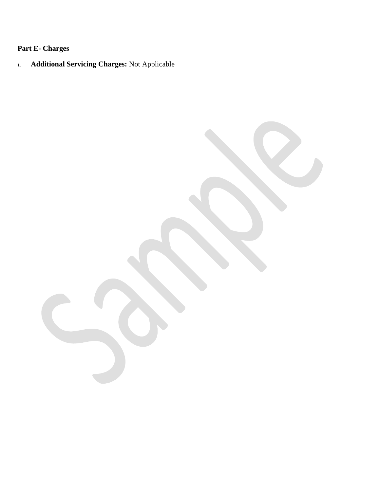# **Part E- Charges**

**1. Additional Servicing Charges:** Not Applicable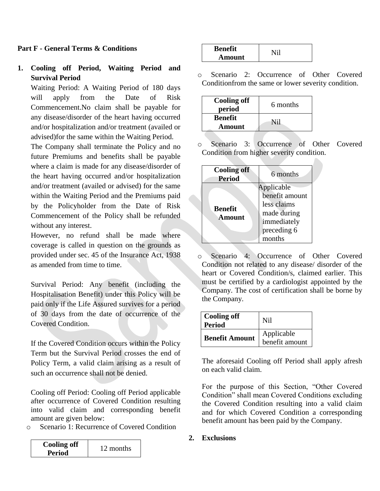# **Part F - General Terms & Conditions**

# **1. Cooling off Period, Waiting Period and Survival Period**

Waiting Period: A Waiting Period of 180 days will apply from the Date of Risk Commencement.No claim shall be payable for any disease/disorder of the heart having occurred and/or hospitalization and/or treatment (availed or advised)for the same within the Waiting Period.

The Company shall terminate the Policy and no future Premiums and benefits shall be payable where a claim is made for any disease/disorder of the heart having occurred and/or hospitalization and/or treatment (availed or advised) for the same within the Waiting Period and the Premiums paid by the Policyholder from the Date of Risk Commencement of the Policy shall be refunded without any interest.

However, no refund shall be made where coverage is called in question on the grounds as provided under sec. 45 of the Insurance Act, 1938 as amended from time to time.

Survival Period: Any benefit (including the Hospitalisation Benefit) under this Policy will be paid only if the Life Assured survives for a period of 30 days from the date of occurrence of the Covered Condition.

If the Covered Condition occurs within the Policy Term but the Survival Period crosses the end of Policy Term, a valid claim arising as a result of such an occurrence shall not be denied.

Cooling off Period: Cooling off Period applicable after occurrence of Covered Condition resulting into valid claim and corresponding benefit amount are given below:

o Scenario 1: Recurrence of Covered Condition

| <b>Cooling off</b> | 12 months |
|--------------------|-----------|
| <b>Period</b>      |           |

| <b>Benefit</b> |  |
|----------------|--|
| Amount         |  |

o Scenario 2: Occurrence of Other Covered Conditionfrom the same or lower severity condition.

| <b>Cooling off</b><br>period | 6 months |
|------------------------------|----------|
| <b>Benefit</b><br>Amount     | Nil      |

Scenario 3: Occurrence of Other Covered Condition from higher severity condition.

| <b>Cooling off</b><br>6 months                                                                                                        |  |
|---------------------------------------------------------------------------------------------------------------------------------------|--|
| <b>Period</b>                                                                                                                         |  |
| Applicable<br>benefit amount<br>less claims<br><b>Benefit</b><br>made during<br><b>Amount</b><br>immediately<br>preceding 6<br>months |  |

o Scenario 4: Occurrence of Other Covered Condition not related to any disease/ disorder of the heart or Covered Condition/s, claimed earlier. This must be certified by a cardiologist appointed by the Company. The cost of certification shall be borne by the Company.

| <b>Cooling off</b><br><b>Period</b> | Nil                          |
|-------------------------------------|------------------------------|
| <b>Benefit Amount</b>               | Applicable<br>benefit amount |

The aforesaid Cooling off Period shall apply afresh on each valid claim.

For the purpose of this Section, "Other Covered Condition" shall mean Covered Conditions excluding the Covered Condition resulting into a valid claim and for which Covered Condition a corresponding benefit amount has been paid by the Company.

**2. Exclusions**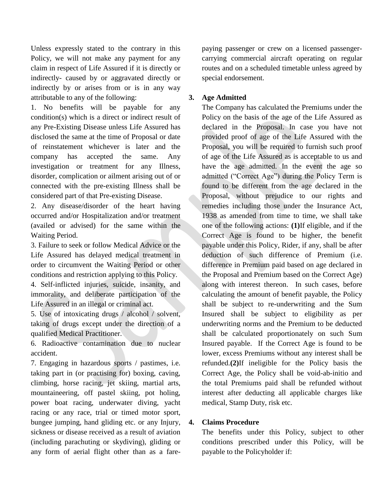Unless expressly stated to the contrary in this Policy, we will not make any payment for any claim in respect of Life Assured if it is directly or indirectly- caused by or aggravated directly or indirectly by or arises from or is in any way attributable to any of the following:

1. No benefits will be payable for any condition(s) which is a direct or indirect result of any Pre-Existing Disease unless Life Assured has disclosed the same at the time of Proposal or date of reinstatement whichever is later and the company has accepted the same. Any investigation or treatment for any Illness, disorder, complication or ailment arising out of or connected with the pre-existing Illness shall be considered part of that Pre-existing Disease.

2. Any disease/disorder of the heart having occurred and/or Hospitalization and/or treatment (availed or advised) for the same within the Waiting Period.

3. Failure to seek or follow Medical Advice or the Life Assured has delayed medical treatment in order to circumvent the Waiting Period or other conditions and restriction applying to this Policy.

4. Self-inflicted injuries, suicide, insanity, and immorality, and deliberate participation of the Life Assured in an illegal or criminal act.

5. Use of intoxicating drugs / alcohol / solvent, taking of drugs except under the direction of a qualified Medical Practitioner.

6. Radioactive contamination due to nuclear accident.

7. Engaging in hazardous sports / pastimes, i.e. taking part in (or practising for) boxing, caving, climbing, horse racing, jet skiing, martial arts, mountaineering, off pastel skiing, pot holing, power boat racing, underwater diving, yacht racing or any race, trial or timed motor sport, bungee jumping, hand gliding etc. or any Injury, sickness or disease received as a result of aviation (including parachuting or skydiving), gliding or any form of aerial flight other than as a fare-

paying passenger or crew on a licensed passengercarrying commercial aircraft operating on regular routes and on a scheduled timetable unless agreed by special endorsement.

### **3. Age Admitted**

The Company has calculated the Premiums under the Policy on the basis of the age of the Life Assured as declared in the Proposal. In case you have not provided proof of age of the Life Assured with the Proposal, you will be required to furnish such proof of age of the Life Assured as is acceptable to us and have the age admitted. In the event the age so admitted ("Correct Age") during the Policy Term is found to be different from the age declared in the Proposal, without prejudice to our rights and remedies including those under the Insurance Act, 1938 as amended from time to time, we shall take one of the following actions: **(1)**If eligible, and if the Correct Age is found to be higher, the benefit payable under this Policy, Rider, if any, shall be after deduction of such difference of Premium (i.e. difference in Premium paid based on age declared in the Proposal and Premium based on the Correct Age) along with interest thereon. In such cases, before calculating the amount of benefit payable, the Policy shall be subject to re-underwriting and the Sum Insured shall be subject to eligibility as per underwriting norms and the Premium to be deducted shall be calculated proportionately on such Sum Insured payable. If the Correct Age is found to be lower, excess Premiums without any interest shall be refunded.**(2)**If ineligible for the Policy basis the Correct Age, the Policy shall be void-ab-initio and the total Premiums paid shall be refunded without interest after deducting all applicable charges like medical, Stamp Duty, risk etc.

#### **4. Claims Procedure**

The benefits under this Policy, subject to other conditions prescribed under this Policy, will be payable to the Policyholder if: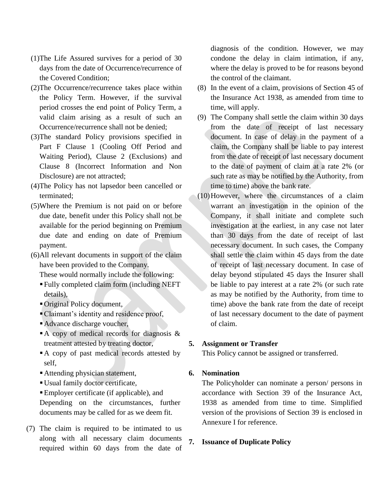- (1)The Life Assured survives for a period of 30 days from the date of Occurrence/recurrence of the Covered Condition;
- (2)The Occurrence/recurrence takes place within the Policy Term. However, if the survival period crosses the end point of Policy Term, a valid claim arising as a result of such an Occurrence/recurrence shall not be denied;
- (3)The standard Policy provisions specified in Part F Clause 1 (Cooling Off Period and Waiting Period), Clause 2 (Exclusions) and Clause 8 (Incorrect Information and Non Disclosure) are not attracted;
- (4)The Policy has not lapsedor been cancelled or terminated;
- (5)Where the Premium is not paid on or before due date, benefit under this Policy shall not be available for the period beginning on Premium due date and ending on date of Premium payment.
- (6)All relevant documents in support of the claim have been provided to the Company.

These would normally include the following:

- Fully completed claim form (including NEFT details),
- Original Policy document,
- Claimant's identity and residence proof,
- Advance discharge voucher,
- A copy of medical records for diagnosis  $\&$ treatment attested by treating doctor,
- A copy of past medical records attested by self,
- Attending physician statement,
- Usual family doctor certificate,
- Employer certificate (if applicable), and Depending on the circumstances, further documents may be called for as we deem fit.
- (7) The claim is required to be intimated to us along with all necessary claim documents required within 60 days from the date of

diagnosis of the condition. However, we may condone the delay in claim intimation, if any, where the delay is proved to be for reasons beyond the control of the claimant.

- (8) In the event of a claim, provisions of Section 45 of the Insurance Act 1938, as amended from time to time, will apply.
- (9) The Company shall settle the claim within 30 days from the date of receipt of last necessary document. In case of delay in the payment of a claim, the Company shall be liable to pay interest from the date of receipt of last necessary document to the date of payment of claim at a rate 2% (or such rate as may be notified by the Authority, from time to time) above the bank rate.
- (10)However, where the circumstances of a claim warrant an investigation in the opinion of the Company, it shall initiate and complete such investigation at the earliest, in any case not later than 30 days from the date of receipt of last necessary document. In such cases, the Company shall settle the claim within 45 days from the date of receipt of last necessary document. In case of delay beyond stipulated 45 days the Insurer shall be liable to pay interest at a rate 2% (or such rate as may be notified by the Authority, from time to time) above the bank rate from the date of receipt of last necessary document to the date of payment of claim.

#### **5. Assignment or Transfer**

This Policy cannot be assigned or transferred.

# **6. Nomination**

The Policyholder can nominate a person/ persons in accordance with Section 39 of the Insurance Act, 1938 as amended from time to time. Simplified version of the provisions of Section 39 is enclosed in Annexure I for reference.

# **7. Issuance of Duplicate Policy**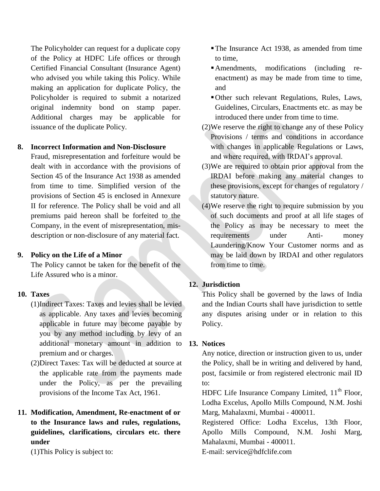The Policyholder can request for a duplicate copy of the Policy at HDFC Life offices or through Certified Financial Consultant (Insurance Agent) who advised you while taking this Policy. While making an application for duplicate Policy, the Policyholder is required to submit a notarized original indemnity bond on stamp paper. Additional charges may be applicable for issuance of the duplicate Policy.

### **8. Incorrect Information and Non-Disclosure**

Fraud, misrepresentation and forfeiture would be dealt with in accordance with the provisions of Section 45 of the Insurance Act 1938 as amended from time to time. Simplified version of the provisions of Section 45 is enclosed in Annexure II for reference. The Policy shall be void and all premiums paid hereon shall be forfeited to the Company, in the event of misrepresentation, misdescription or non-disclosure of any material fact.

#### **9. Policy on the Life of a Minor**

The Policy cannot be taken for the benefit of the Life Assured who is a minor.

# **10. Taxes**

- (1)Indirect Taxes: Taxes and levies shall be levied as applicable. Any taxes and levies becoming applicable in future may become payable by you by any method including by levy of an additional monetary amount in addition to premium and or charges.
- (2)Direct Taxes: Tax will be deducted at source at the applicable rate from the payments made under the Policy, as per the prevailing provisions of the Income Tax Act, 1961.
- **11. Modification, Amendment, Re-enactment of or to the Insurance laws and rules, regulations, guidelines, clarifications, circulars etc. there under**

(1)This Policy is subject to:

- The Insurance Act 1938, as amended from time to time,
- Amendments, modifications (including reenactment) as may be made from time to time, and
- Other such relevant Regulations, Rules, Laws, Guidelines, Circulars, Enactments etc. as may be introduced there under from time to time.
- (2)We reserve the right to change any of these Policy Provisions / terms and conditions in accordance with changes in applicable Regulations or Laws, and where required, with IRDAI's approval.
- (3)We are required to obtain prior approval from the IRDAI before making any material changes to these provisions, except for changes of regulatory / statutory nature.
- (4)We reserve the right to require submission by you of such documents and proof at all life stages of the Policy as may be necessary to meet the requirements under Anti- money Laundering/Know Your Customer norms and as may be laid down by IRDAI and other regulators from time to time.

# **12. Jurisdiction**

This Policy shall be governed by the laws of India and the Indian Courts shall have jurisdiction to settle any disputes arising under or in relation to this Policy.

#### **13. Notices**

Any notice, direction or instruction given to us, under the Policy, shall be in writing and delivered by hand, post, facsimile or from registered electronic mail ID to:

HDFC Life Insurance Company Limited, 11<sup>th</sup> Floor, Lodha Excelus, Apollo Mills Compound, N.M. Joshi Marg, Mahalaxmi, Mumbai - 400011.

Registered Office: Lodha Excelus, 13th Floor, Apollo Mills Compound, N.M. Joshi Marg, Mahalaxmi, Mumbai - 400011.

E-mail: service@hdfclife.com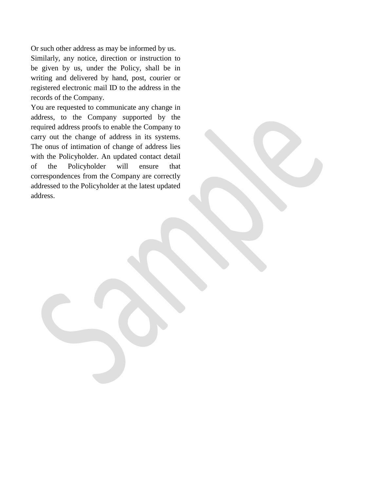Or such other address as may be informed by us. Similarly, any notice, direction or instruction to be given by us, under the Policy, shall be in writing and delivered by hand, post, courier or registered electronic mail ID to the address in the records of the Company.

You are requested to communicate any change in address, to the Company supported by the required address proofs to enable the Company to carry out the change of address in its systems. The onus of intimation of change of address lies with the Policyholder. An updated contact detail of the Policyholder will ensure that correspondences from the Company are correctly addressed to the Policyholder at the latest updated address.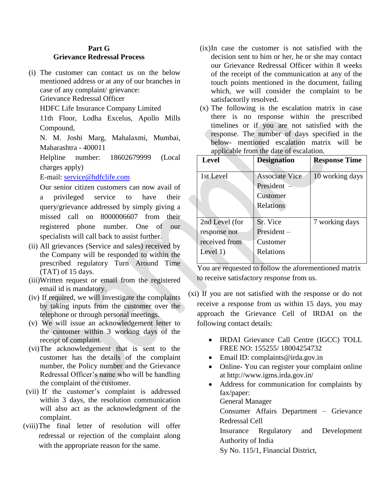# **Part G Grievance Redressal Process**

(i) The customer can contact us on the below mentioned address or at any of our branches in case of any complaint/ grievance:

Grievance Redressal Officer

HDFC Life Insurance Company Limited

11th Floor, Lodha Excelus, Apollo Mills Compound,

N. M. Joshi Marg, Mahalaxmi, Mumbai, Maharashtra - 400011

Helpline number: 18602679999 (Local charges apply)

E-mail: [service@hdfclife.com](mailto:service@hdfclife.com)

Our senior citizen customers can now avail of a privileged service to have their query/grievance addressed by simply giving a missed call on 8000006607 from their registered phone number. One of our specialists will call back to assist further.

- (ii) All grievances (Service and sales) received by the Company will be responded to within the prescribed regulatory Turn Around Time (TAT) of 15 days.
- (iii)Written request or email from the registered email id is mandatory.
- (iv) If required, we will investigate the complaints by taking inputs from the customer over the telephone or through personal meetings.
- (v) We will issue an acknowledgement letter to the customer within 3 working days of the receipt of complaint.
- (vi)The acknowledgement that is sent to the customer has the details of the complaint number, the Policy number and the Grievance Redressal Officer's name who will be handling the complaint of the customer.
- (vii) If the customer's complaint is addressed within 3 days, the resolution communication will also act as the acknowledgment of the complaint.
- (viii)The final letter of resolution will offer redressal or rejection of the complaint along with the appropriate reason for the same.
- (ix)In case the customer is not satisfied with the decision sent to him or her, he or she may contact our Grievance Redressal Officer within 8 weeks of the receipt of the communication at any of the touch points mentioned in the document, failing which, we will consider the complaint to be satisfactorily resolved.
- (x) The following is the escalation matrix in case there is no response within the prescribed timelines or if you are not satisfied with the response. The number of days specified in the below- mentioned escalation matrix will be applicable from the date of escalation.

| <b>Level</b>   | <b>Designation</b>    | <b>Response Time</b> |
|----------------|-----------------------|----------------------|
|                |                       |                      |
| 1st Level      | <b>Associate Vice</b> | 10 working days      |
|                | President $-$         |                      |
|                | Customer              |                      |
|                | <b>Relations</b>      |                      |
|                |                       |                      |
| 2nd Level (for | Sr. Vice              | 7 working days       |
| response not   | $President -$         |                      |
| received from  | Customer              |                      |
| Level $1)$     | Relations             |                      |
|                |                       |                      |

You are requested to follow the aforementioned matrix to receive satisfactory response from us.

- (xi) If you are not satisfied with the response or do not receive a response from us within 15 days, you may approach the Grievance Cell of IRDAI on the following contact details:
	- IRDAI Grievance Call Centre (IGCC) TOLL FREE NO: 155255/ 18004254732
	- Email ID: complaints@irda.gov.in
	- Online- You can register your complaint online at http://www.igms.irda.gov.in/
	- Address for communication for complaints by fax/paper: General Manager Consumer Affairs Department – Grievance

Redressal Cell

Insurance Regulatory and Development Authority of India

Sy No. 115/1, Financial District,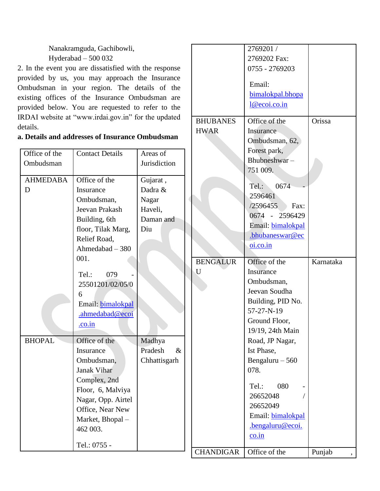Nanakramguda, Gachibowli, Hyderabad – 500 032

2. In the event you are dissatisfied with the response provided by us, you may approach the Insurance Ombudsman in your region. The details of the existing offices of the Insurance Ombudsman are provided below. You are requested to refer to the IRDAI website at "www.irdai.gov.in" for the updated details.

| Forest park,<br>Office of the<br><b>Contact Details</b><br>Areas of<br>Bhubneshwar-<br>Jurisdiction<br>Ombudsman<br>751 009.<br>Office of the<br>Gujarat,<br><b>AHMEDABA</b><br>0674<br>Tel.:<br>Dadra &<br>Insurance<br>D<br>2596461<br>Ombudsman,<br>Nagar<br>/2596455<br>Fax:<br>Jeevan Prakash<br>Haveli,<br>0674 - 2596429<br>Building, 6th<br>Daman and<br>Email: bimalokpal<br>floor, Tilak Marg,<br>Diu<br>.bhubaneswar@ec<br>Relief Road,<br>oi.co.in<br>Ahmedabad - 380<br>001.<br><b>BENGALUR</b><br>Office of the<br>Insurance<br>U<br>079<br>Tel.:<br>Ombudsman,<br>25501201/02/05/0<br>Jeevan Soudha<br>6<br>Building, PID No.<br>Email: bimalokpal<br>57-27-N-19<br>.ahmedabad@ecoi |           |
|----------------------------------------------------------------------------------------------------------------------------------------------------------------------------------------------------------------------------------------------------------------------------------------------------------------------------------------------------------------------------------------------------------------------------------------------------------------------------------------------------------------------------------------------------------------------------------------------------------------------------------------------------------------------------------------------------|-----------|
|                                                                                                                                                                                                                                                                                                                                                                                                                                                                                                                                                                                                                                                                                                    |           |
|                                                                                                                                                                                                                                                                                                                                                                                                                                                                                                                                                                                                                                                                                                    |           |
|                                                                                                                                                                                                                                                                                                                                                                                                                                                                                                                                                                                                                                                                                                    |           |
|                                                                                                                                                                                                                                                                                                                                                                                                                                                                                                                                                                                                                                                                                                    |           |
|                                                                                                                                                                                                                                                                                                                                                                                                                                                                                                                                                                                                                                                                                                    |           |
|                                                                                                                                                                                                                                                                                                                                                                                                                                                                                                                                                                                                                                                                                                    |           |
|                                                                                                                                                                                                                                                                                                                                                                                                                                                                                                                                                                                                                                                                                                    |           |
|                                                                                                                                                                                                                                                                                                                                                                                                                                                                                                                                                                                                                                                                                                    |           |
|                                                                                                                                                                                                                                                                                                                                                                                                                                                                                                                                                                                                                                                                                                    |           |
|                                                                                                                                                                                                                                                                                                                                                                                                                                                                                                                                                                                                                                                                                                    |           |
|                                                                                                                                                                                                                                                                                                                                                                                                                                                                                                                                                                                                                                                                                                    |           |
|                                                                                                                                                                                                                                                                                                                                                                                                                                                                                                                                                                                                                                                                                                    | Karnataka |
|                                                                                                                                                                                                                                                                                                                                                                                                                                                                                                                                                                                                                                                                                                    |           |
|                                                                                                                                                                                                                                                                                                                                                                                                                                                                                                                                                                                                                                                                                                    |           |
|                                                                                                                                                                                                                                                                                                                                                                                                                                                                                                                                                                                                                                                                                                    |           |
|                                                                                                                                                                                                                                                                                                                                                                                                                                                                                                                                                                                                                                                                                                    |           |
|                                                                                                                                                                                                                                                                                                                                                                                                                                                                                                                                                                                                                                                                                                    |           |
| Ground Floor,<br>.co.in                                                                                                                                                                                                                                                                                                                                                                                                                                                                                                                                                                                                                                                                            |           |
| 19/19, 24th Main                                                                                                                                                                                                                                                                                                                                                                                                                                                                                                                                                                                                                                                                                   |           |
| <b>BHOPAL</b><br>Office of the<br>Madhya<br>Road, JP Nagar,                                                                                                                                                                                                                                                                                                                                                                                                                                                                                                                                                                                                                                        |           |
| Pradesh<br>Insurance<br>$\&$<br>Ist Phase,                                                                                                                                                                                                                                                                                                                                                                                                                                                                                                                                                                                                                                                         |           |
| Ombudsman,<br>Chhattisgarh<br>Bengaluru $-560$                                                                                                                                                                                                                                                                                                                                                                                                                                                                                                                                                                                                                                                     |           |
| 078.<br><b>Janak Vihar</b>                                                                                                                                                                                                                                                                                                                                                                                                                                                                                                                                                                                                                                                                         |           |
| Complex, 2nd                                                                                                                                                                                                                                                                                                                                                                                                                                                                                                                                                                                                                                                                                       |           |
| 080<br>Tel.:<br>Floor, 6, Malviya                                                                                                                                                                                                                                                                                                                                                                                                                                                                                                                                                                                                                                                                  |           |
| 26652048<br>Nagar, Opp. Airtel                                                                                                                                                                                                                                                                                                                                                                                                                                                                                                                                                                                                                                                                     |           |
| 26652049<br>Office, Near New                                                                                                                                                                                                                                                                                                                                                                                                                                                                                                                                                                                                                                                                       |           |
| Email: bimalokpal<br>Market, Bhopal-                                                                                                                                                                                                                                                                                                                                                                                                                                                                                                                                                                                                                                                               |           |
| .bengaluru@ecoi.<br>462 003.                                                                                                                                                                                                                                                                                                                                                                                                                                                                                                                                                                                                                                                                       |           |
| co.in                                                                                                                                                                                                                                                                                                                                                                                                                                                                                                                                                                                                                                                                                              |           |
| Tel.: 0755 -<br><b>CHANDIGAR</b><br>Office of the<br>Punjab                                                                                                                                                                                                                                                                                                                                                                                                                                                                                                                                                                                                                                        |           |

2769201 / 2769202 Fax: 0755 - 2769203

Email:

**BHUBANES** 

HWAR

[bimalokpal.bhopa](mailto:bimalokpal.bhopal@ecoi.co.in)

Orissa

[l@ecoi.co.in](mailto:bimalokpal.bhopal@ecoi.co.in)

Office of the **Insurance** 

# **a. Details and addresses of Insurance Ombudsman**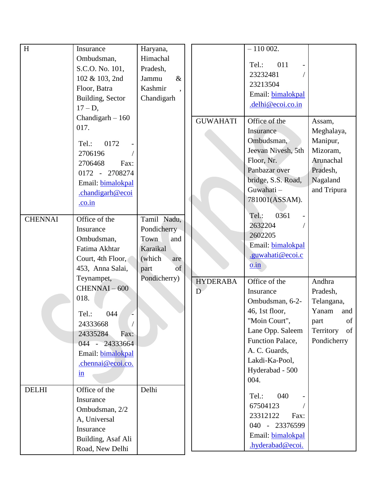| H              | Insurance               | Haryana,       |                 | $-110002.$               |                 |
|----------------|-------------------------|----------------|-----------------|--------------------------|-----------------|
|                | Ombudsman,              | Himachal       |                 |                          |                 |
|                | S.C.O. No. 101,         | Pradesh,       |                 | Tel.:<br>011             |                 |
|                | 102 & 103, 2nd          | $\&$<br>Jammu  |                 | 23232481                 |                 |
|                | Floor, Batra            | Kashmir        |                 | 23213504                 |                 |
|                | Building, Sector        | Chandigarh     |                 | Email: bimalokpal        |                 |
|                | $17 - D$ ,              |                |                 | .delhi@ecoi.co.in        |                 |
|                | Chandigarh $-160$       |                | <b>GUWAHATI</b> | Office of the            | Assam,          |
|                | 017.                    |                |                 | Insurance                | Meghalaya,      |
|                | 0172<br>Tel.:           |                |                 | Ombudsman,               | Manipur,        |
|                | 2706196                 |                |                 | Jeevan Nivesh, 5th       | Mizoram,        |
|                | 2706468<br>Fax:         |                |                 | Floor, Nr.               | Arunachal       |
|                | 0172 - 2708274          |                |                 | Panbazar over            | Pradesh,        |
|                | Email: bimalokpal       |                |                 | bridge, S.S. Road,       | Nagaland        |
|                | .chandigarh@ecoi        |                |                 | Guwahati-                | and Tripura     |
|                | .co.in                  |                |                 | 781001(ASSAM).           |                 |
|                |                         |                |                 |                          |                 |
| <b>CHENNAI</b> | Office of the           | Tamil Nadu,    |                 | 0361<br>Tel.:            |                 |
|                | Insurance               | Pondicherry    |                 | 2632204                  |                 |
|                | Ombudsman,              | Town<br>and    |                 | 2602205                  |                 |
|                | Fatima Akhtar           | Karaikal       |                 | Email: bimalokpal        |                 |
|                | Court, 4th Floor,       | (which)<br>are |                 | .guwahati@ecoi.c         |                 |
|                | 453, Anna Salai,        | of<br>part     |                 | $0.\overline{\text{in}}$ |                 |
|                | Teynampet,              | Pondicherry)   | <b>HYDERABA</b> | Office of the            | Andhra          |
|                | CHENNAI-600             |                | D               | Insurance                | Pradesh,        |
|                | 018.                    |                |                 | Ombudsman, 6-2-          | Telangana,      |
|                | 044<br>Tel.:            |                |                 | 46, 1st floor,           | Yanam<br>and    |
|                | 24333668                |                |                 | "Moin Court",            | of<br>part      |
|                | 24335284<br>Fax:        |                |                 | Lane Opp. Saleem         | Territory<br>of |
|                | 044 - 24333664          |                |                 | Function Palace,         | Pondicherry     |
|                | Email: bimalokpal       |                |                 | A. C. Guards,            |                 |
|                | .chennai@ecoi.co.       |                |                 | Lakdi-Ka-Pool,           |                 |
|                | $\underline{\text{in}}$ |                |                 | Hyderabad - 500          |                 |
|                |                         |                |                 | 004.                     |                 |
| <b>DELHI</b>   | Office of the           | Delhi          |                 | 040<br>Tel.:             |                 |
|                | Insurance               |                |                 | 67504123                 |                 |
|                | Ombudsman, 2/2          |                |                 | 23312122<br>Fax:         |                 |
|                | A, Universal            |                |                 | 040 - 23376599           |                 |
|                | Insurance               |                |                 | Email: bimalokpal        |                 |
|                | Building, Asaf Ali      |                |                 |                          |                 |
|                | Road, New Delhi         |                |                 | .hyderabad@ecoi.         |                 |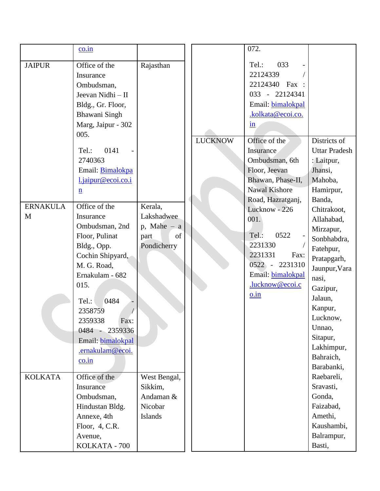|                      | $\frac{\text{co.in}}{\text{c}}$                                                                                                                                                                                                                                          |                                                                      |                | 072.                                                                                                                                                                          |                                                                                                                                                                                                                                    |
|----------------------|--------------------------------------------------------------------------------------------------------------------------------------------------------------------------------------------------------------------------------------------------------------------------|----------------------------------------------------------------------|----------------|-------------------------------------------------------------------------------------------------------------------------------------------------------------------------------|------------------------------------------------------------------------------------------------------------------------------------------------------------------------------------------------------------------------------------|
| <b>JAIPUR</b>        | Office of the<br>Insurance<br>Ombudsman,<br>Jeevan Nidhi - II<br>Bldg., Gr. Floor,<br>Bhawani Singh<br>Marg, Jaipur - 302<br>005.                                                                                                                                        | Rajasthan                                                            |                | 033<br>Tel.:<br>22124339<br>22124340 Fax :<br>033 - 22124341<br>Email: bimalokpal<br>.kolkata@ecoi.co.<br>$\mathbf{in}$                                                       |                                                                                                                                                                                                                                    |
|                      | 0141<br>Tel.:<br>2740363<br>Email: Bimalokpa<br>l.jaipur@ecoi.co.i<br>$\underline{n}$                                                                                                                                                                                    |                                                                      | <b>LUCKNOW</b> | Office of the<br>Insurance<br>Ombudsman, 6th<br>Floor, Jeevan<br>Bhawan, Phase-II,<br><b>Nawal Kishore</b>                                                                    | Districts of<br><b>Uttar Pradesh</b><br>: Laitpur,<br>Jhansi,<br>Mahoba,<br>Hamirpur,                                                                                                                                              |
| <b>ERNAKULA</b><br>M | Office of the<br>Insurance<br>Ombudsman, 2nd<br>Floor, Pulinat<br>Bldg., Opp.<br>Cochin Shipyard,<br>M. G. Road,<br>Ernakulam - 682<br>015.<br>0484<br>Tel.:<br>2358759<br>2359338<br>Fax:<br>$0484 -$<br>2359336<br>Email: bimalokpal<br>.ernakulam@ecoi.<br>$\cos$ .in | Kerala,<br>Lakshadwee<br>$p$ , Mahe – a<br>of<br>part<br>Pondicherry |                | Road, Hazratganj,<br>Lucknow - 226<br>001.<br>Tel.:<br>0522<br>2231330<br>2231331<br>Fax:<br>2231310<br>$0522 -$<br>Email: bimalokpal<br>.lucknow@ecoi.c<br>$0.\overline{in}$ | Banda,<br>Chitrakoot,<br>Allahabad,<br>Mirzapur,<br>Sonbhabdra,<br>Fatehpur,<br>Pratapgarh,<br>Jaunpur, Vara<br>nasi,<br>Gazipur,<br>Jalaun,<br>Kanpur,<br>Lucknow,<br>Unnao,<br>Sitapur,<br>Lakhimpur,<br>Bahraich,<br>Barabanki, |
| <b>KOLKATA</b>       | Office of the<br>Insurance<br>Ombudsman,<br>Hindustan Bldg.<br>Annexe, 4th<br>Floor, 4, C.R.<br>Avenue,<br>KOLKATA - 700                                                                                                                                                 | West Bengal,<br>Sikkim,<br>Andaman &<br>Nicobar<br>Islands           |                |                                                                                                                                                                               | Raebareli,<br>Sravasti,<br>Gonda,<br>Faizabad,<br>Amethi,<br>Kaushambi,<br>Balrampur,<br>Basti,                                                                                                                                    |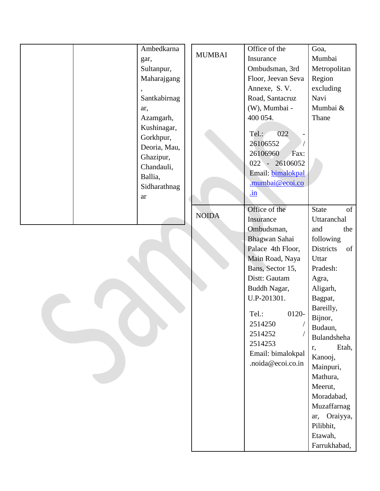|  | Ambedkarna   |               | Office of the      | Goa,                   |
|--|--------------|---------------|--------------------|------------------------|
|  | gar,         | <b>MUMBAI</b> | Insurance          | Mumbai                 |
|  | Sultanpur,   |               | Ombudsman, 3rd     | Metropolitan           |
|  | Maharajgang  |               | Floor, Jeevan Seva | Region                 |
|  |              |               | Annexe, S.V.       | excluding              |
|  | Santkabirnag |               | Road, Santacruz    | Navi                   |
|  | ar,          |               | (W), Mumbai -      | Mumbai &               |
|  | Azamgarh,    |               | 400 054.           | Thane                  |
|  | Kushinagar,  |               |                    |                        |
|  | Gorkhpur,    |               | Tel.:<br>022       |                        |
|  | Deoria, Mau, |               | 26106552           |                        |
|  | Ghazipur,    |               | 26106960<br>Fax:   |                        |
|  | Chandauli,   |               | 022 - 26106052     |                        |
|  | Ballia,      |               | Email: bimalokpal  |                        |
|  | Sidharathnag |               | mumbai@ecoi.co     |                        |
|  | ar           |               | $\mathbf{in}$      |                        |
|  |              |               | Office of the      | of<br><b>State</b>     |
|  |              | <b>NOIDA</b>  | Insurance          | Uttaranchal            |
|  |              |               | Ombudsman,         | and<br>the             |
|  |              |               | Bhagwan Sahai      | following              |
|  |              |               | Palace 4th Floor,  | <b>Districts</b><br>of |
|  |              |               | Main Road, Naya    | Uttar                  |
|  |              |               | Bans, Sector 15,   | Pradesh:               |
|  |              |               | Distt: Gautam      | Agra,                  |
|  |              |               | Buddh Nagar,       | Aligarh,               |
|  |              |               | U.P-201301.        | Bagpat,                |
|  |              |               | Tel.:<br>0120-     | Bareilly,              |
|  |              |               | 2514250            | Bijnor,                |
|  |              |               | 2514252            | Budaun,                |
|  |              |               | 2514253            | Bulandsheha            |
|  |              |               | Email: bimalokpal  | Etah,<br>r,            |
|  |              |               | .noida@ecoi.co.in  | Kanooj,                |
|  |              |               |                    | Mainpuri,<br>Mathura,  |
|  |              |               |                    | Meerut,                |
|  |              |               |                    | Moradabad,             |
|  |              |               |                    | Muzaffarnag            |
|  |              |               |                    | ar, Oraiyya,           |
|  |              |               |                    | Pilibhit,              |
|  |              |               |                    | Etawah,                |
|  |              |               |                    | Farrukhabad,           |
|  |              |               |                    |                        |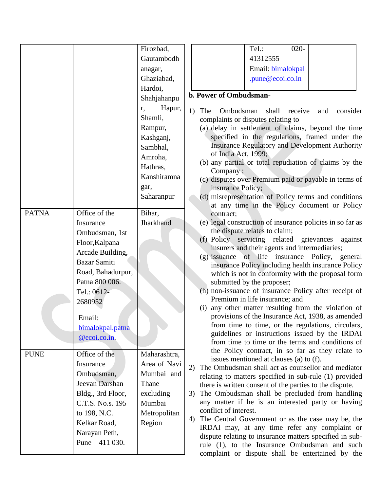|              |                   | Firozbad,    | $020 -$<br>Tel.:                                                                                     |
|--------------|-------------------|--------------|------------------------------------------------------------------------------------------------------|
|              |                   | Gautambodh   | 41312555                                                                                             |
|              |                   | anagar,      | Email: bimalokpal                                                                                    |
|              |                   | Ghaziabad,   | .pune@ecoi.co.in                                                                                     |
|              |                   | Hardoi,      |                                                                                                      |
|              |                   | Shahjahanpu  | b. Power of Ombudsman-                                                                               |
|              |                   | Hapur,<br>r, | consider<br>1)<br>The<br>Ombudsman<br>shall<br>receive<br>and                                        |
|              |                   | Shamli,      | complaints or disputes relating to-                                                                  |
|              |                   | Rampur,      | (a) delay in settlement of claims, beyond the time                                                   |
|              |                   | Kashganj,    | specified in the regulations, framed under the                                                       |
|              |                   | Sambhal,     | <b>Insurance Regulatory and Development Authority</b>                                                |
|              |                   | Amroha,      | of India Act, 1999;                                                                                  |
|              |                   | Hathras,     | (b) any partial or total repudiation of claims by the                                                |
|              |                   | Kanshiramna  | Company;<br>(c) disputes over Premium paid or payable in terms of                                    |
|              |                   | gar,         | insurance Policy;                                                                                    |
|              |                   | Saharanpur   | (d) misrepresentation of Policy terms and conditions                                                 |
|              |                   |              | at any time in the Policy document or Policy                                                         |
| <b>PATNA</b> | Office of the     | Bihar,       | contract;                                                                                            |
|              | Insurance         | Jharkhand    | (e) legal construction of insurance policies in so far as                                            |
|              | Ombudsman, 1st    |              | the dispute relates to claim;                                                                        |
|              | Floor, Kalpana    |              | (f) Policy servicing related grievances<br>against                                                   |
|              | Arcade Building,  |              | insurers and their agents and intermediaries;                                                        |
|              | Bazar Samiti      |              | (g) issuance of life insurance Policy, general<br>insurance Policy including health insurance Policy |
|              | Road, Bahadurpur, |              | which is not in conformity with the proposal form                                                    |
|              | Patna 800 006.    |              | submitted by the proposer;                                                                           |
|              | Tel.: 0612-       |              | (h) non-issuance of insurance Policy after receipt of                                                |
|              | 2680952           |              | Premium in life insurance; and                                                                       |
|              |                   |              | any other matter resulting from the violation of<br>(i)                                              |
|              | Email:            |              | provisions of the Insurance Act, 1938, as amended                                                    |
|              | bimalokpal.patna  |              | from time to time, or the regulations, circulars,<br>guidelines or instructions issued by the IRDAI  |
|              | @ecoi.co.in.      |              | from time to time or the terms and conditions of                                                     |
|              |                   |              | the Policy contract, in so far as they relate to                                                     |
| <b>PUNE</b>  | Office of the     | Maharashtra, | issues mentioned at clauses (a) to (f).                                                              |
|              | Insurance         | Area of Navi | The Ombudsman shall act as counsellor and mediator<br>2)                                             |
|              | Ombudsman,        | Mumbai and   | relating to matters specified in sub-rule (1) provided                                               |
|              | Jeevan Darshan    | Thane        | there is written consent of the parties to the dispute.                                              |
|              | Bldg., 3rd Floor, | excluding    | The Ombudsman shall be precluded from handling<br>3)                                                 |
|              | C.T.S. No.s. 195  | Mumbai       | any matter if he is an interested party or having<br>conflict of interest.                           |
|              | to 198, N.C.      | Metropolitan | The Central Government or as the case may be, the<br>4)                                              |
|              | Kelkar Road,      | Region       | IRDAI may, at any time refer any complaint or                                                        |
|              | Narayan Peth,     |              | dispute relating to insurance matters specified in sub-                                              |
|              | Pune $-411$ 030.  |              | rule (1), to the Insurance Ombudsman and such                                                        |
|              |                   |              | complaint or dispute shall be entertained by the                                                     |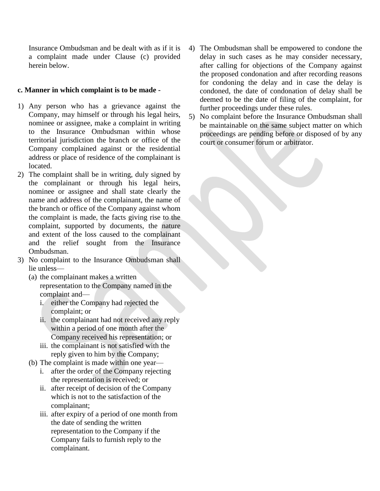Insurance Ombudsman and be dealt with as if it is a complaint made under Clause (c) provided herein below.

### **c. Manner in which complaint is to be made -**

- 1) Any person who has a grievance against the Company, may himself or through his legal heirs, nominee or assignee, make a complaint in writing to the Insurance Ombudsman within whose territorial jurisdiction the branch or office of the Company complained against or the residential address or place of residence of the complainant is located.
- 2) The complaint shall be in writing, duly signed by the complainant or through his legal heirs, nominee or assignee and shall state clearly the name and address of the complainant, the name of the branch or office of the Company against whom the complaint is made, the facts giving rise to the complaint, supported by documents, the nature and extent of the loss caused to the complainant and the relief sought from the Insurance Ombudsman.
- 3) No complaint to the Insurance Ombudsman shall lie unless—
	- (a) the complainant makes a written representation to the Company named in the complaint and
		- i. either the Company had rejected the complaint; or
		- ii. the complainant had not received any reply within a period of one month after the Company received his representation; or
		- iii. the complainant is not satisfied with the reply given to him by the Company;
	- (b) The complaint is made within one year
		- i. after the order of the Company rejecting the representation is received; or
		- ii. after receipt of decision of the Company which is not to the satisfaction of the complainant;
		- iii. after expiry of a period of one month from the date of sending the written representation to the Company if the Company fails to furnish reply to the complainant.
- 4) The Ombudsman shall be empowered to condone the delay in such cases as he may consider necessary, after calling for objections of the Company against the proposed condonation and after recording reasons for condoning the delay and in case the delay is condoned, the date of condonation of delay shall be deemed to be the date of filing of the complaint, for further proceedings under these rules.
- 5) No complaint before the Insurance Ombudsman shall be maintainable on the same subject matter on which proceedings are pending before or disposed of by any court or consumer forum or arbitrator.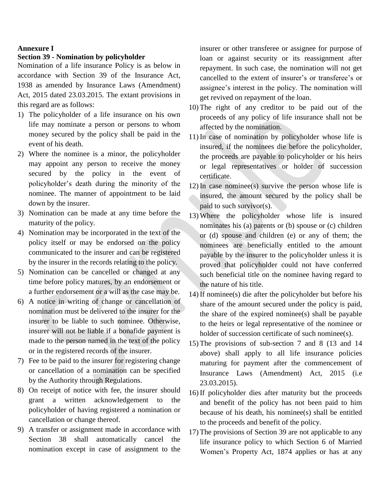#### **Annexure I**

#### **Section 39 - Nomination by policyholder**

Nomination of a life insurance Policy is as below in accordance with Section 39 of the Insurance Act, 1938 as amended by Insurance Laws (Amendment) Act, 2015 dated 23.03.2015. The extant provisions in this regard are as follows:

- 1) The policyholder of a life insurance on his own life may nominate a person or persons to whom money secured by the policy shall be paid in the event of his death.
- 2) Where the nominee is a minor, the policyholder may appoint any person to receive the money secured by the policy in the event of policyholder's death during the minority of the nominee. The manner of appointment to be laid down by the insurer.
- 3) Nomination can be made at any time before the maturity of the policy.
- 4) Nomination may be incorporated in the text of the policy itself or may be endorsed on the policy communicated to the insurer and can be registered by the insurer in the records relating to the policy.
- 5) Nomination can be cancelled or changed at any time before policy matures, by an endorsement or a further endorsement or a will as the case may be.
- 6) A notice in writing of change or cancellation of nomination must be delivered to the insurer for the insurer to be liable to such nominee. Otherwise, insurer will not be liable if a bonafide payment is made to the person named in the text of the policy or in the registered records of the insurer.
- 7) Fee to be paid to the insurer for registering change or cancellation of a nomination can be specified by the Authority through Regulations.
- 8) On receipt of notice with fee, the insurer should grant a written acknowledgement to the policyholder of having registered a nomination or cancellation or change thereof.
- 9) A transfer or assignment made in accordance with Section 38 shall automatically cancel the nomination except in case of assignment to the

insurer or other transferee or assignee for purpose of loan or against security or its reassignment after repayment. In such case, the nomination will not get cancelled to the extent of insurer's or transferee's or assignee's interest in the policy. The nomination will get revived on repayment of the loan.

- 10) The right of any creditor to be paid out of the proceeds of any policy of life insurance shall not be affected by the nomination.
- 11) In case of nomination by policyholder whose life is insured, if the nominees die before the policyholder, the proceeds are payable to policyholder or his heirs or legal representatives or holder of succession certificate.
- 12) In case nominee(s) survive the person whose life is insured, the amount secured by the policy shall be paid to such survivor(s).
- 13) Where the policyholder whose life is insured nominates his (a) parents or (b) spouse or (c) children or (d) spouse and children (e) or any of them; the nominees are beneficially entitled to the amount payable by the insurer to the policyholder unless it is proved that policyholder could not have conferred such beneficial title on the nominee having regard to the nature of his title.
- 14) If nominee(s) die after the policyholder but before his share of the amount secured under the policy is paid, the share of the expired nominee(s) shall be payable to the heirs or legal representative of the nominee or holder of succession certificate of such nominee(s).
- 15) The provisions of sub-section 7 and 8 (13 and 14 above) shall apply to all life insurance policies maturing for payment after the commencement of Insurance Laws (Amendment) Act, 2015 (i.e 23.03.2015).
- 16) If policyholder dies after maturity but the proceeds and benefit of the policy has not been paid to him because of his death, his nominee(s) shall be entitled to the proceeds and benefit of the policy.
- 17) The provisions of Section 39 are not applicable to any life insurance policy to which Section 6 of Married Women's Property Act, 1874 applies or has at any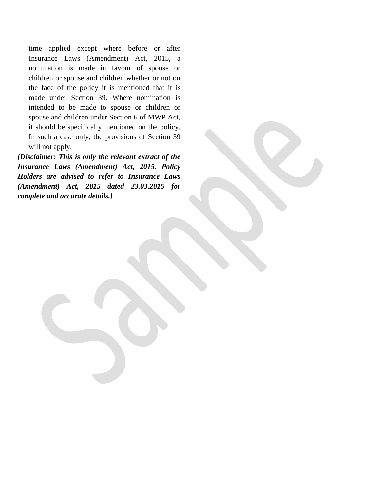time applied except where before or after Insurance Laws (Amendment) Act, 2015, a nomination is made in favour of spouse or children or spouse and children whether or not on the face of the policy it is mentioned that it is made under Section 39. Where nomination is intended to be made to spouse or children or spouse and children under Section 6 of MWP Act, it should be specifically mentioned on the policy. In such a case only, the provisions of Section 39 will not apply.

*[Disclaimer: This is only the relevant extract of the Insurance Laws (Amendment) Act, 2015. Policy Holders are advised to refer to Insurance Laws (Amendment) Act, 2015 dated 23.03.2015 for complete and accurate details.]*